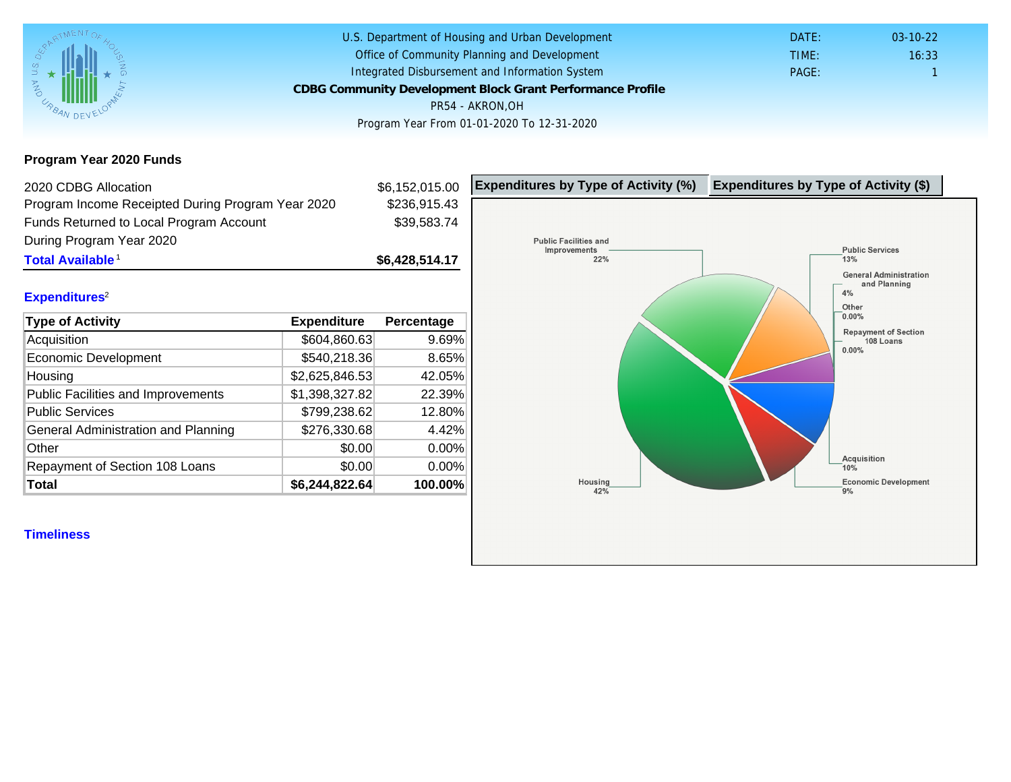Program Year 2020 Funds

| 2020 CDBG Allocation                              |                | \$6,152,015.00 | Expenditures by Type of Activity (%) | Expenditure |
|---------------------------------------------------|----------------|----------------|--------------------------------------|-------------|
| Program Income Receipted During Program Year 2020 |                | \$236,915.43   |                                      |             |
| Funds Returned to Local Program Account           |                | \$39,583.74    |                                      |             |
| During Program Year 2020                          |                |                |                                      |             |
| Total Available <sup>1</sup>                      |                | \$6,428,514.17 |                                      |             |
|                                                   |                |                |                                      |             |
| Expenditures <sup>2</sup>                         |                |                |                                      |             |
| Type of Activity                                  | Expenditure    | Percentage     |                                      |             |
| Acquisition                                       | \$604,860.63   | 9.69%          |                                      |             |
| Economic Development                              | \$540,218.36   | 8.65%          |                                      |             |
| Housing                                           | \$2,625,846.53 | 42.05%         |                                      |             |
| <b>Public Facilities and Improvements</b>         | \$1,398,327.82 | 22.39%         |                                      |             |
| <b>Public Services</b>                            | \$799,238.62   | 12.80%         |                                      |             |
| General Administration and Planning               | \$276,330.68   | 4.42%          |                                      |             |
| Other                                             | \$0.00         | 0.00%          |                                      |             |
| Repayment of Section 108 Loans                    | \$0.00         | 0.00%          |                                      |             |
| Total                                             | \$6,244,822.64 | 100.00%        |                                      |             |
|                                                   |                |                |                                      |             |
| <b>Timeliness</b>                                 |                |                |                                      |             |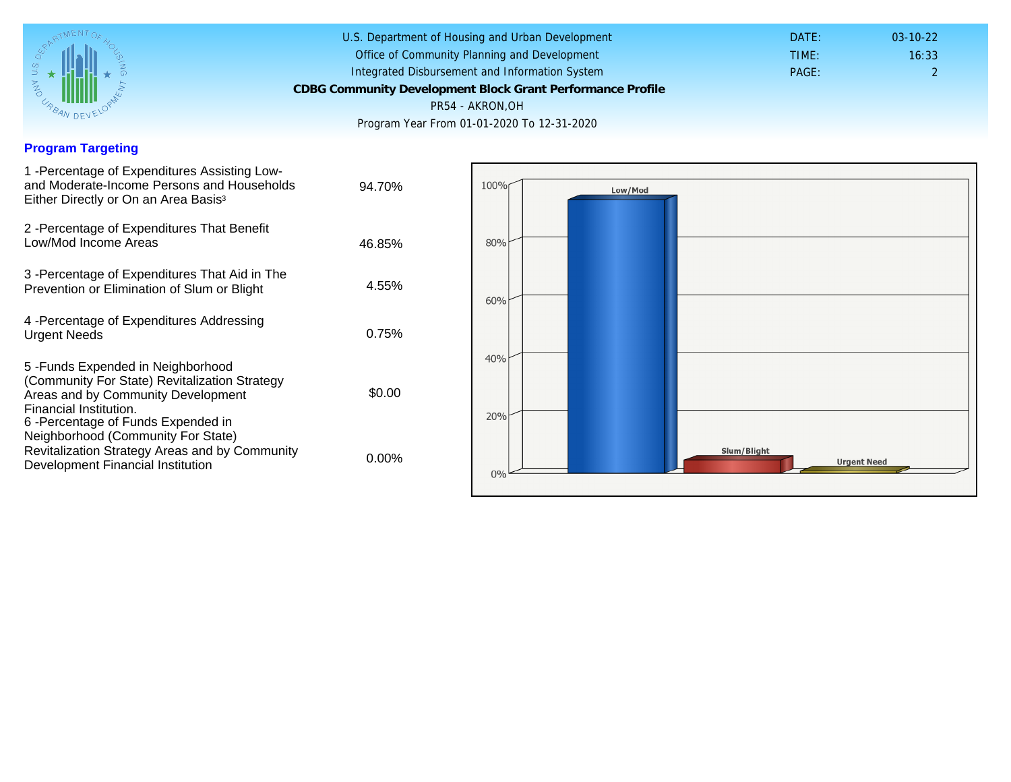## Program Targeting

| 1 -Percentage of Expenditures Assisting Low-<br>and Moderate-Income Persons and Households<br>Either Directly or On an Area Basis <sup>3</sup>                                                                                 | 94.70%   |
|--------------------------------------------------------------------------------------------------------------------------------------------------------------------------------------------------------------------------------|----------|
| 2 - Percentage of Expenditures That Benefit<br>Low/Mod Income Areas                                                                                                                                                            | 46.85%   |
| 3 -Percentage of Expenditures That Aid in The<br>Prevention or Elimination of Slum or Blight                                                                                                                                   | 4.55%    |
| 4 - Percentage of Expenditures Addressing<br><b>Urgent Needs</b>                                                                                                                                                               | 0.75%    |
| 5 - Funds Expended in Neighborhood<br>(Community For State) Revitalization Strategy<br>Areas and by Community Development<br>Financial Institution.<br>6-Percentage of Funds Expended in<br>Neighborhood (Community For State) | \$0.00   |
| Revitalization Strategy Areas and by Community<br>Development Financial Institution                                                                                                                                            | $0.00\%$ |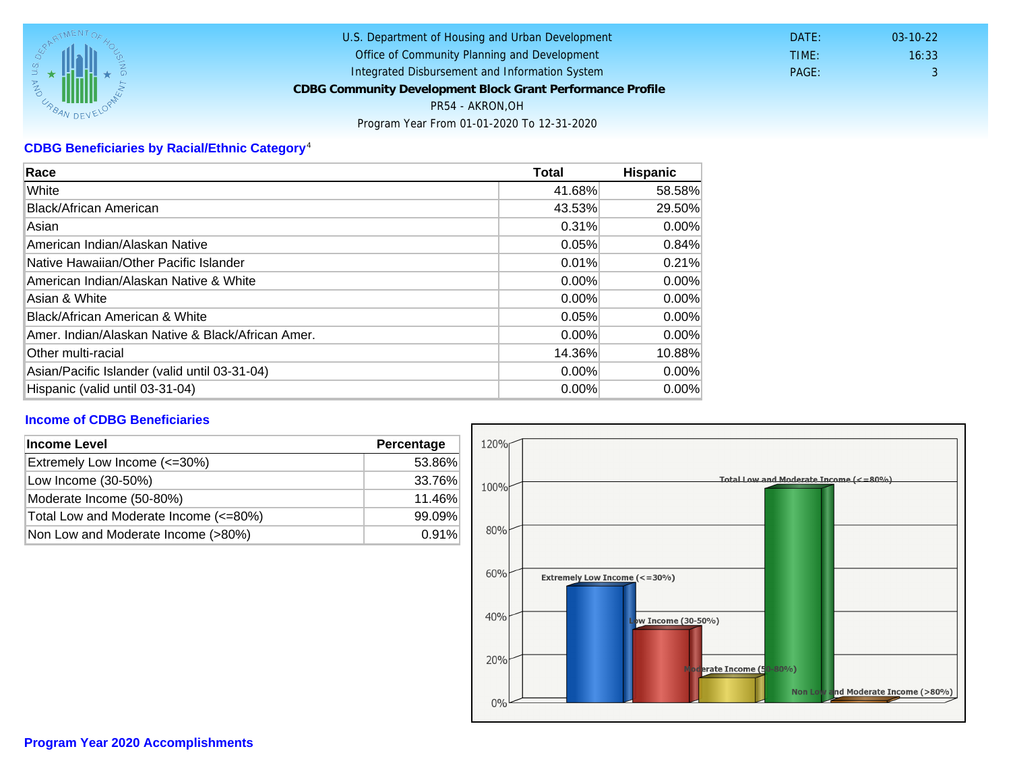## CDBG Beneficiaries by Racial/Ethnic Category <sup>4</sup>

| Race                                              | Total    | Hispanic |
|---------------------------------------------------|----------|----------|
| White                                             | 41.68%   | 58.58%   |
| Black/African American                            | 43.53%   | 29.50%   |
| Asian                                             | 0.31%    | $0.00\%$ |
| American Indian/Alaskan Native                    | 0.05%    | 0.84%    |
| lNative Hawaiian/Other Pacific Islander           | 0.01%    | 0.21%    |
| American Indian/Alaskan Native & White            | 0.00%    | $0.00\%$ |
| Asian & White                                     | 0.00%    | 0.00%    |
| Black/African American & White                    | 0.05%    | $0.00\%$ |
| Amer. Indian/Alaskan Native & Black/African Amer. | $0.00\%$ | $0.00\%$ |
| Other multi-racial                                | 14.36%   | 10.88%   |
| Asian/Pacific Islander (valid until 03-31-04)     | $0.00\%$ | $0.00\%$ |
| Hispanic (valid until 03-31-04)                   | $0.00\%$ | 0.00%    |

## Income of CDBG Beneficiaries

| Income Level                          | Percentage |  |
|---------------------------------------|------------|--|
| Extremely Low Income (<=30%)          | 53.86%     |  |
| Low Income (30-50%)                   | 33.76%     |  |
| Moderate Income (50-80%)              | 11.46%     |  |
| Total Low and Moderate Income (<=80%) | 99.09%     |  |
| Non Low and Moderate Income (>80%)    | 0.91%      |  |